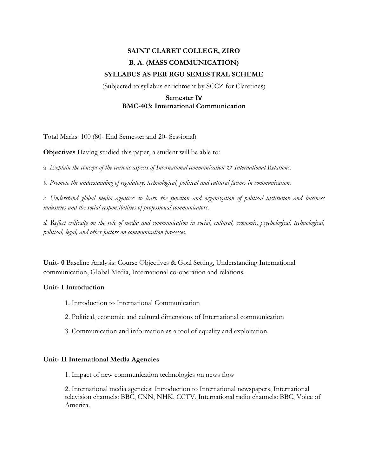# **SAINT CLARET COLLEGE, ZIRO B. A. (MASS COMMUNICATION) SYLLABUS AS PER RGU SEMESTRAL SCHEME**

(Subjected to syllabus enrichment by SCCZ for Claretines)

# **Semester IV BMC-403: International Communication**

Total Marks: 100 (80- End Semester and 20- Sessional)

**Objectives** Having studied this paper, a student will be able to:

a. *Explain the concept of the various aspects of International communication*  $\mathcal{C}^*$  International Relations.

*b. Promote the understanding of regulatory, technological, political and cultural factors in communication.*

*c. Understand global media agencies: to learn the function and organization of political institution and business industries and the social responsibilities of professional communicators.*

*d. Reflect critically on the role of media and communication in social, cultural, economic, psychological, technological, political, legal, and other factors on communication processes.*

**Unit- 0** Baseline Analysis: Course Objectives & Goal Setting, Understanding International communication, Global Media, International co-operation and relations.

# **Unit- I Introduction**

- 1. Introduction to International Communication
- 2. Political, economic and cultural dimensions of International communication
- 3. Communication and information as a tool of equality and exploitation.

## **Unit- II International Media Agencies**

1. Impact of new communication technologies on news flow

2. International media agencies: Introduction to International newspapers, International television channels: BBC, CNN, NHK, CCTV, International radio channels: BBC, Voice of America.